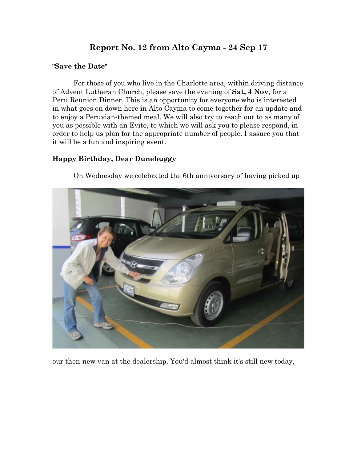# **Report No. 12 from Alto Cayma - 24 Sep 17**

#### **"Save the Date"**

For those of you who live in the Charlotte area, within driving distance of Advent Lutheran Church, please save the evening of **Sat, 4 Nov**, for a Peru Reunion Dinner. This is an opportunity for everyone who is interested in what goes on down here in Alto Cayma to come together for an update and to enjoy a Peruvian-themed meal. We will also try to reach out to as many of you as possible with an Evite, to which we will ask you to please respond, in order to help us plan for the appropriate number of people. I assure you that it will be a fun and inspiring event.

## **Happy Birthday, Dear Dunebuggy**

On Wednesday we celebrated the 6th anniversary of having picked up



our then-new van at the dealership. You'd almost think it's still new today,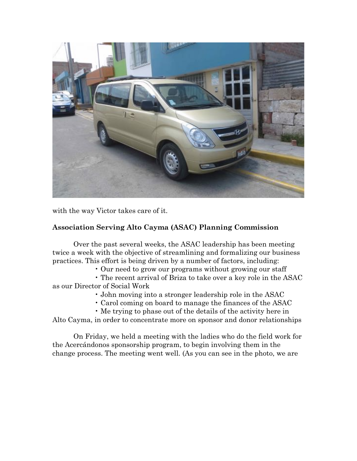

with the way Victor takes care of it.

## **Association Serving Alto Cayma (ASAC) Planning Commission**

Over the past several weeks, the ASAC leadership has been meeting twice a week with the objective of streamlining and formalizing our business practices. This effort is being driven by a number of factors, including:

• Our need to grow our programs without growing our staff

• The recent arrival of Briza to take over a key role in the ASAC as our Director of Social Work

• John moving into a stronger leadership role in the ASAC

- Carol coming on board to manage the finances of the ASAC
- Me trying to phase out of the details of the activity here in

Alto Cayma, in order to concentrate more on sponsor and donor relationships

On Friday, we held a meeting with the ladies who do the field work for the Acercándonos sponsorship program, to begin involving them in the change process. The meeting went well. (As you can see in the photo, we are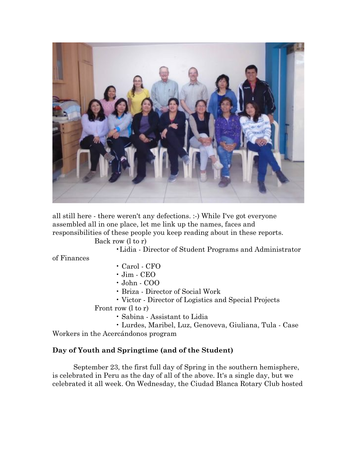

all still here - there weren't any defections. :-) While I've got everyone assembled all in one place, let me link up the names, faces and responsibilities of these people you keep reading about in these reports.

Back row (l to r)

•Lidia - Director of Student Programs and Administrator

of Finances

- Carol CFO
- Jim CEO
- John COO
- Briza Director of Social Work
- Victor Director of Logistics and Special Projects

Front row (l to r)

- Sabina Assistant to Lidia
- Lurdes, Maribel, Luz, Genoveva, Giuliana, Tula Case Workers in the Acercándonos program

## **Day of Youth and Springtime (and of the Student)**

September 23, the first full day of Spring in the southern hemisphere, is celebrated in Peru as the day of all of the above. It's a single day, but we celebrated it all week. On Wednesday, the Ciudad Blanca Rotary Club hosted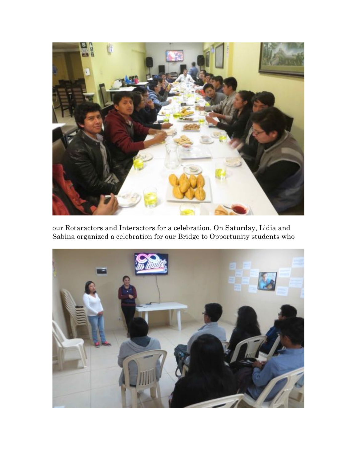

our Rotaractors and Interactors for a celebration. On Saturday, Lidia and Sabina organized a celebration for our Bridge to Opportunity students who

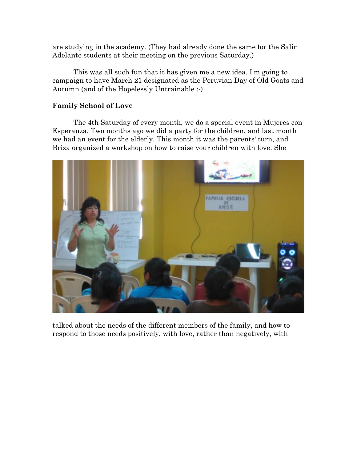are studying in the academy. (They had already done the same for the Salir Adelante students at their meeting on the previous Saturday.)

This was all such fun that it has given me a new idea. I'm going to campaign to have March 21 designated as the Peruvian Day of Old Goats and Autumn (and of the Hopelessly Untrainable :-)

#### **Family School of Love**

The 4th Saturday of every month, we do a special event in Mujeres con Esperanza. Two months ago we did a party for the children, and last month we had an event for the elderly. This month it was the parents' turn, and Briza organized a workshop on how to raise your children with love. She



talked about the needs of the different members of the family, and how to respond to those needs positively, with love, rather than negatively, with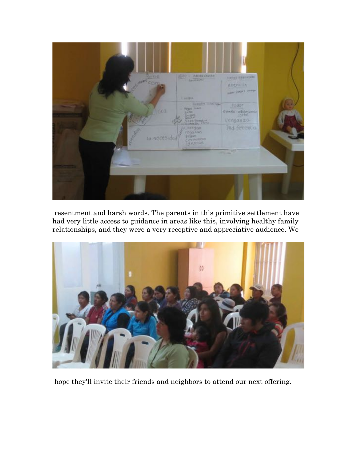

resentment and harsh words. The parents in this primitive settlement have had very little access to guidance in areas like this, involving healthy family relationships, and they were a very receptive and appreciative audience. We



hope they'll invite their friends and neighbors to attend our next offering.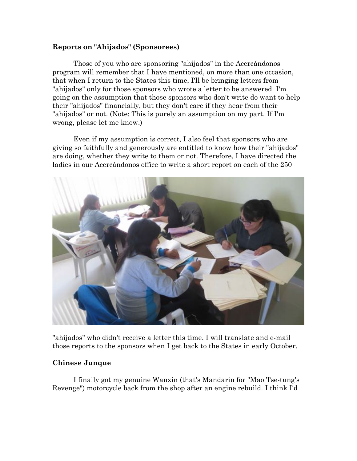#### **Reports on "Ahijados" (Sponsorees)**

Those of you who are sponsoring "ahijados" in the Acercándonos program will remember that I have mentioned, on more than one occasion, that when I return to the States this time, I'll be bringing letters from "ahijados" only for those sponsors who wrote a letter to be answered. I'm going on the assumption that those sponsors who don't write do want to help their "ahijados" financially, but they don't care if they hear from their "ahijados" or not. (Note: This is purely an assumption on my part. If I'm wrong, please let me know.)

Even if my assumption is correct, I also feel that sponsors who are giving so faithfully and generously are entitled to know how their "ahijados" are doing, whether they write to them or not. Therefore, I have directed the ladies in our Acercándonos office to write a short report on each of the 250



"ahijados" who didn't receive a letter this time. I will translate and e-mail those reports to the sponsors when I get back to the States in early October.

#### **Chinese Junque**

I finally got my genuine Wanxin (that's Mandarin for "Mao Tse-tung's Revenge") motorcycle back from the shop after an engine rebuild. I think I'd